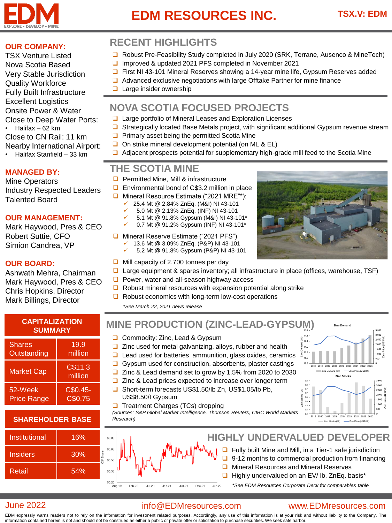

# **EDM RESOURCES INC.**

#### **OUR COMPANY:**

TSX Venture Listed Nova Scotia Based Very Stable Jurisdiction Quality Workforce Fully Built Infrastructure Excellent Logistics Onsite Power & Water Close to Deep Water Ports: • Halifax – 62 km Close to CN Rail: 11 km Nearby International Airport: • Halifax Stanfield – 33 km

#### **MANAGED BY:**

Mine Operators Industry Respected Leaders Talented Board

#### **OUR MANAGEMENT:**

Mark Haywood, Pres & CEO Robert Suttie, CFO Simion Candrea, VP

#### **OUR BOARD:**

Ashwath Mehra, Chairman Mark Haywood, Pres & CEO Chris Hopkins, Director Mark Billings, Director

| <b>CAPITALIZATION</b><br><b>SUMMARY</b> |                    |
|-----------------------------------------|--------------------|
| <b>Shares</b>                           | 19.9               |
| Outstanding                             | million            |
| <b>Market Cap</b>                       | C\$11.3<br>million |
| 52-Week                                 | $C$0.45-$          |
| <b>Price Range</b>                      | C\$0.75            |

#### **SHAREHOLDER BASE**

| Institutional   | 16%      |
|-----------------|----------|
| <b>Insiders</b> | 30%<br>ά |
| Retail          | 54%      |

## **RECENT HIGHLIGHTS**

- ❑ Robust Pre-Feasibility Study completed in July 2020 (SRK, Terrane, Ausenco & MineTech)
- ❑ Improved & updated 2021 PFS completed in November 2021
- ❑ First NI 43-101 Mineral Reserves showing a 14-year mine life, Gypsum Reserves added
- ❑ Advanced exclusive negotiations with large Offtake Partner for mine finance
- ❑ Large insider ownership

## **NOVA SCOTIA FOCUSED PROJECTS**

- ❑ Large portfolio of Mineral Leases and Exploration Licenses
- ❑ Strategically located Base Metals project, with significant additional Gypsum revenue stream
	- ❑ Primary asset being the permitted Scotia Mine
	- ❑ On strike mineral development potential (on ML & EL)
	- ❑ Adjacent prospects potential for supplementary high-grade mill feed to the Scotia Mine

### **THE SCOTIA MINE**

- ❑ Permitted Mine, Mill & infrastructure
- ❑ Environmental bond of C\$3.2 million in place
- ❑ Mineral Resource Estimate ("2021 MRE"\*):
	- ✓ 25.4 Mt @ 2.84% ZnEq. (M&I) NI 43-101
	- ✓ 5.0 Mt @ 2.13% ZnEq. (INF) NI 43-101
	- ✓ 5.1 Mt @ 91.8% Gypsum (M&I) NI 43-101\* 0.7 Mt @ 91.2% Gypsum (INF) NI 43-101\*
	-
- ❑ Mineral Reserve Estimate ("2021 PFS") ✓ 13.6 Mt @ 3.09% ZnEq. (P&P) NI 43-101
	- ✓ 5.2 Mt @ 91.8% Gypsum (P&P) NI 43-101
- ❑ Mill capacity of 2,700 tonnes per day
- ❑ Large equipment & spares inventory; all infrastructure in place (offices, warehouse, TSF)
- ❑ Power, water and all-season highway access
- ❑ Robust mineral resources with expansion potential along strike
- ❑ Robust economics with long-term low-cost operations

*\*See March 22, 2021 news release*

## **MINE PRODUCTION (ZINC-LEAD-GYPSUM)**

- ❑ Commodity: Zinc, Lead & Gypsum
- ❑ Zinc used for metal galvanizing, alloys, rubber and health
- ❑ Lead used for batteries, ammunition, glass oxides, ceramics
- ❑ Gypsum used for construction, absorbents, plaster castings
- ❑ Zinc & Lead demand set to grow by 1.5% from 2020 to 2030
- ❑ Zinc & Lead prices expected to increase over longer term
- ❑ Short-term forecasts US\$1.50/lb Zn, US\$1.05/lb Pb, US\$8.50/t Gypsum
- ❑ Treatment Charges (TCs) dropping



*(Sources: S&P Global Market Intelligence, Thomson Reuters, CIBC World Markets Research)*

#### **HIGHLY UNDERVALUED DEVELOPER** \$0.80 \$0.65 ❑ Fully built Mine and Mill, in a Tier-1 safe jurisdiction ❑ 9-12 months to commercial production from financing \$0.50 ❑ Mineral Resources and Mineral Reserves \$0.35 ❑ Highly undervalued on an EV/ lb. ZnEq. basis\*  $$0.20$ *\*See EDM Resources Corporate Deck for comparables table*

#### June 2022

#### info@EDMresources.com

#### www.EDMresources.com

EDM expressly warns readers not to rely on the information for investment related purposes. Accordingly, any use of this information is at your risk and without liability to the Company. The information contained herein is not and should not be construed as either a public or private offer or solicitation to purchase securities. We seek safe harbor.